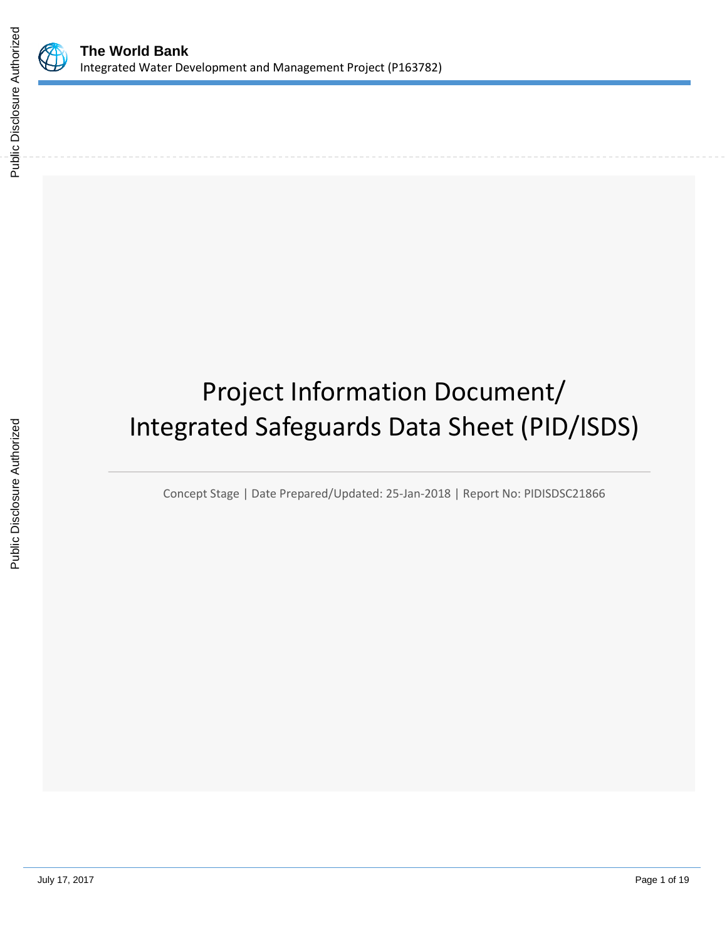

# Project Information Document/ Integrated Safeguards Data Sheet (PID/ISDS)

Concept Stage | Date Prepared/Updated: 25-Jan-2018 | Report No: PIDISDSC21866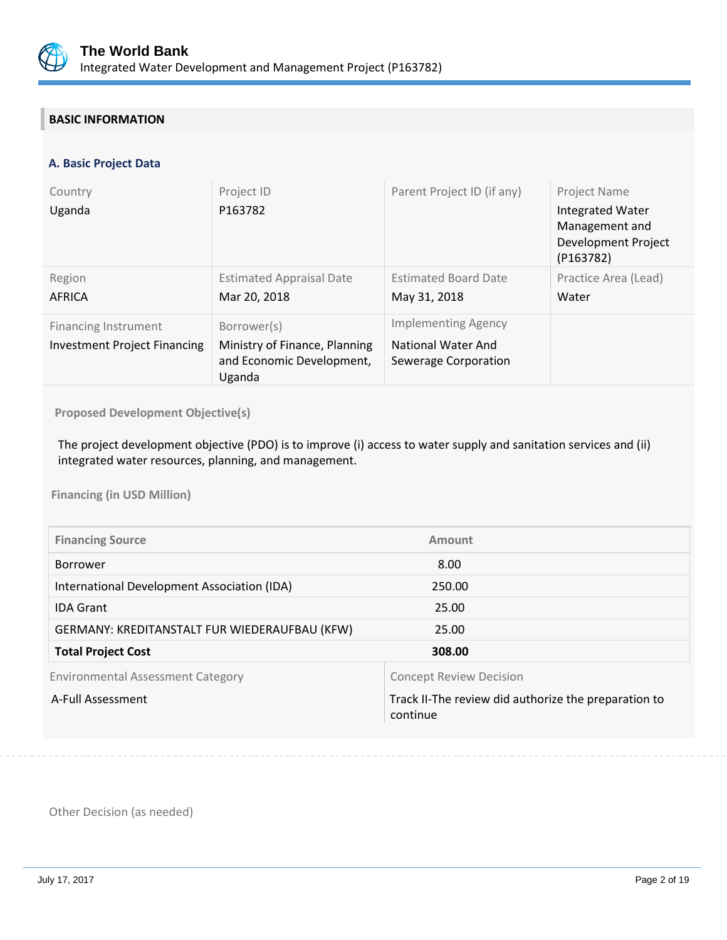

# **BASIC INFORMATION**

## **A. Basic Project Data**

| Country<br>Uganda                                           | Project ID<br>P163782                                                               | Parent Project ID (if any)                                                      | <b>Project Name</b><br><b>Integrated Water</b><br>Management and<br>Development Project<br>(P163782) |
|-------------------------------------------------------------|-------------------------------------------------------------------------------------|---------------------------------------------------------------------------------|------------------------------------------------------------------------------------------------------|
| Region<br>AFRICA                                            | <b>Estimated Appraisal Date</b><br>Mar 20, 2018                                     | <b>Estimated Board Date</b><br>May 31, 2018                                     | Practice Area (Lead)<br>Water                                                                        |
| Financing Instrument<br><b>Investment Project Financing</b> | Borrower(s)<br>Ministry of Finance, Planning<br>and Economic Development,<br>Uganda | <b>Implementing Agency</b><br><b>National Water And</b><br>Sewerage Corporation |                                                                                                      |

**Proposed Development Objective(s)** 

The project development objective (PDO) is to improve (i) access to water supply and sanitation services and (ii) integrated water resources, planning, and management.

**Financing (in USD Million)**

| <b>Financing Source</b>                       | Amount                                                           |
|-----------------------------------------------|------------------------------------------------------------------|
| <b>Borrower</b>                               | 8.00                                                             |
| International Development Association (IDA)   | 250.00                                                           |
| <b>IDA Grant</b>                              | 25.00                                                            |
| GERMANY: KREDITANSTALT FUR WIEDERAUFBAU (KFW) | 25.00                                                            |
| <b>Total Project Cost</b>                     | 308.00                                                           |
| <b>Environmental Assessment Category</b>      | <b>Concept Review Decision</b>                                   |
| A-Full Assessment                             | Track II-The review did authorize the preparation to<br>continue |

Other Decision (as needed)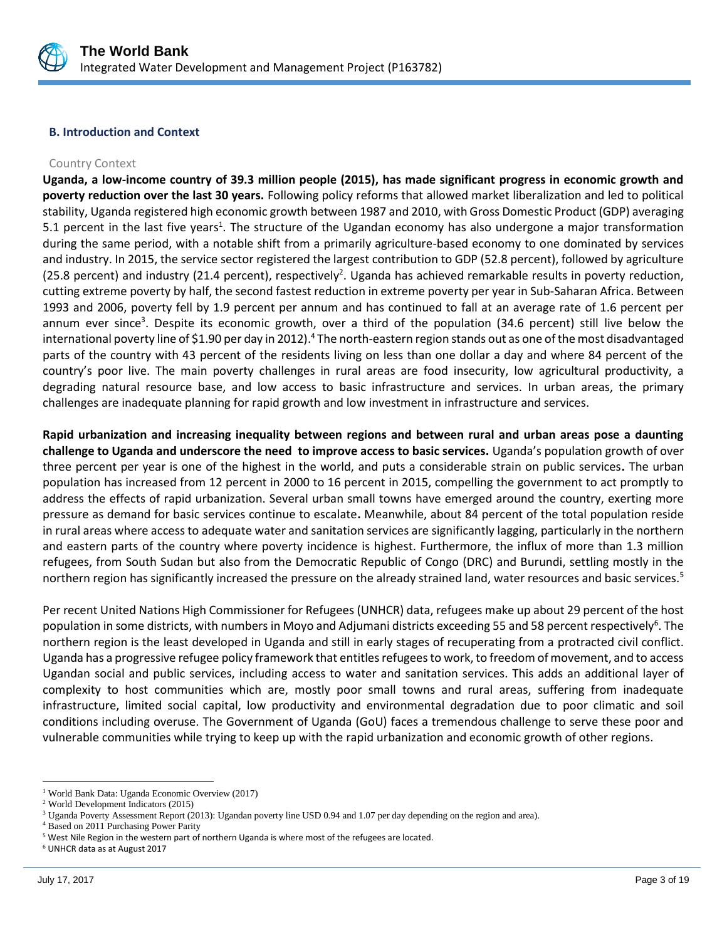

#### **B. Introduction and Context**

#### Country Context

**Uganda, a low-income country of 39.3 million people (2015), has made significant progress in economic growth and poverty reduction over the last 30 years.** Following policy reforms that allowed market liberalization and led to political stability, Uganda registered high economic growth between 1987 and 2010, with Gross Domestic Product (GDP) averaging 5.1 percent in the last five years<sup>1</sup>. The structure of the Ugandan economy has also undergone a major transformation during the same period, with a notable shift from a primarily agriculture-based economy to one dominated by services and industry. In 2015, the service sector registered the largest contribution to GDP (52.8 percent), followed by agriculture (25.8 percent) and industry (21.4 percent), respectively<sup>2</sup>. Uganda has achieved remarkable results in poverty reduction, cutting extreme poverty by half, the second fastest reduction in extreme poverty per year in Sub-Saharan Africa. Between 1993 and 2006, poverty fell by 1.9 percent per annum and has continued to fall at an average rate of 1.6 percent per annum ever since<sup>3</sup>. Despite its economic growth, over a third of the population (34.6 percent) still live below the international poverty line of \$1.90 per day in 2012). <sup>4</sup> The north-eastern region stands out as one of the most disadvantaged parts of the country with 43 percent of the residents living on less than one dollar a day and where 84 percent of the country's poor live. The main poverty challenges in rural areas are food insecurity, low agricultural productivity, a degrading natural resource base, and low access to basic infrastructure and services. In urban areas, the primary challenges are inadequate planning for rapid growth and low investment in infrastructure and services.

**Rapid urbanization and increasing inequality between regions and between rural and urban areas pose a daunting challenge to Uganda and underscore the need to improve access to basic services.** Uganda's population growth of over three percent per year is one of the highest in the world, and puts a considerable strain on public services**.** The urban population has increased from 12 percent in 2000 to 16 percent in 2015, compelling the government to act promptly to address the effects of rapid urbanization. Several urban small towns have emerged around the country, exerting more pressure as demand for basic services continue to escalate**.** Meanwhile, about 84 percent of the total population reside in rural areas where access to adequate water and sanitation services are significantly lagging, particularly in the northern and eastern parts of the country where poverty incidence is highest. Furthermore, the influx of more than 1.3 million refugees, from South Sudan but also from the Democratic Republic of Congo (DRC) and Burundi, settling mostly in the northern region has significantly increased the pressure on the already strained land, water resources and basic services.<sup>5</sup>

Per recent United Nations High Commissioner for Refugees (UNHCR) data, refugees make up about 29 percent of the host population in some districts, with numbers in Moyo and Adjumani districts exceeding 55 and 58 percent respectively<sup>6</sup>. The northern region is the least developed in Uganda and still in early stages of recuperating from a protracted civil conflict. Uganda has a progressive refugee policy framework that entitles refugees to work, to freedom of movement, and to access Ugandan social and public services, including access to water and sanitation services. This adds an additional layer of complexity to host communities which are, mostly poor small towns and rural areas, suffering from inadequate infrastructure, limited social capital, low productivity and environmental degradation due to poor climatic and soil conditions including overuse. The Government of Uganda (GoU) faces a tremendous challenge to serve these poor and vulnerable communities while trying to keep up with the rapid urbanization and economic growth of other regions.

 $\overline{a}$ <sup>1</sup> World Bank Data: Uganda Economic Overview (2017)

<sup>2</sup> World Development Indicators (2015)

<sup>3</sup> Uganda Poverty Assessment Report (2013): Ugandan poverty line USD 0.94 and 1.07 per day depending on the region and area).

<sup>4</sup> Based on 2011 Purchasing Power Parity

<sup>5</sup> West Nile Region in the western part of northern Uganda is where most of the refugees are located.

<sup>6</sup> UNHCR data as at August 2017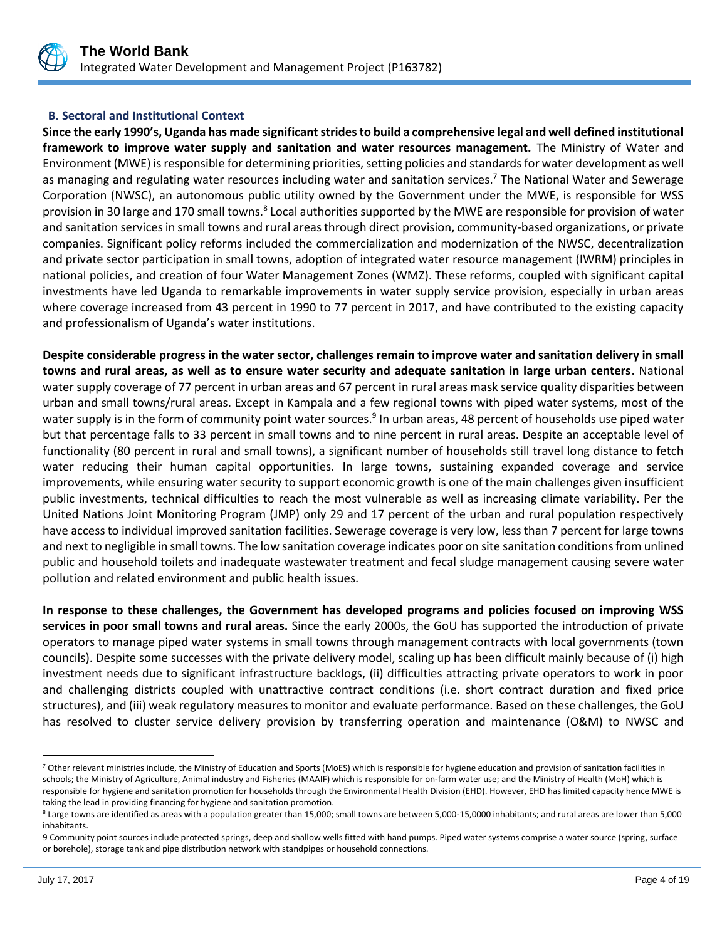

## **B. Sectoral and Institutional Context**

**Since the early 1990's, Uganda has made significant strides to build a comprehensive legal and well defined institutional framework to improve water supply and sanitation and water resources management.** The Ministry of Water and Environment (MWE) is responsible for determining priorities, setting policies and standards for water development as well as managing and regulating water resources including water and sanitation services.<sup>7</sup> The National Water and Sewerage Corporation (NWSC), an autonomous public utility owned by the Government under the MWE, is responsible for WSS provision in 30 large and 170 small towns.<sup>8</sup> Local authorities supported by the MWE are responsible for provision of water and sanitation services in small towns and rural areas through direct provision, community-based organizations, or private companies. Significant policy reforms included the commercialization and modernization of the NWSC, decentralization and private sector participation in small towns, adoption of integrated water resource management (IWRM) principles in national policies, and creation of four Water Management Zones (WMZ). These reforms, coupled with significant capital investments have led Uganda to remarkable improvements in water supply service provision, especially in urban areas where coverage increased from 43 percent in 1990 to 77 percent in 2017, and have contributed to the existing capacity and professionalism of Uganda's water institutions.

**Despite considerable progress in the water sector, challenges remain to improve water and sanitation delivery in small towns and rural areas, as well as to ensure water security and adequate sanitation in large urban centers**. National water supply coverage of 77 percent in urban areas and 67 percent in rural areas mask service quality disparities between urban and small towns/rural areas. Except in Kampala and a few regional towns with piped water systems, most of the water supply is in the form of community point water sources.<sup>9</sup> In urban areas, 48 percent of households use piped water but that percentage falls to 33 percent in small towns and to nine percent in rural areas. Despite an acceptable level of functionality (80 percent in rural and small towns), a significant number of households still travel long distance to fetch water reducing their human capital opportunities. In large towns, sustaining expanded coverage and service improvements, while ensuring water security to support economic growth is one of the main challenges given insufficient public investments, technical difficulties to reach the most vulnerable as well as increasing climate variability. Per the United Nations Joint Monitoring Program (JMP) only 29 and 17 percent of the urban and rural population respectively have access to individual improved sanitation facilities. Sewerage coverage is very low, less than 7 percent for large towns and next to negligible in small towns. The low sanitation coverage indicates poor on site sanitation conditions from unlined public and household toilets and inadequate wastewater treatment and fecal sludge management causing severe water pollution and related environment and public health issues.

**In response to these challenges, the Government has developed programs and policies focused on improving WSS services in poor small towns and rural areas.** Since the early 2000s, the GoU has supported the introduction of private operators to manage piped water systems in small towns through management contracts with local governments (town councils). Despite some successes with the private delivery model, scaling up has been difficult mainly because of (i) high investment needs due to significant infrastructure backlogs, (ii) difficulties attracting private operators to work in poor and challenging districts coupled with unattractive contract conditions (i.e. short contract duration and fixed price structures), and (iii) weak regulatory measures to monitor and evaluate performance. Based on these challenges, the GoU has resolved to cluster service delivery provision by transferring operation and maintenance (O&M) to NWSC and

 $\overline{a}$ 

<sup>&</sup>lt;sup>7</sup> Other relevant ministries include, the Ministry of Education and Sports (MoES) which is responsible for hygiene education and provision of sanitation facilities in schools; the Ministry of Agriculture, Animal industry and Fisheries (MAAIF) which is responsible for on-farm water use; and the Ministry of Health (MoH) which is responsible for hygiene and sanitation promotion for households through the Environmental Health Division (EHD). However, EHD has limited capacity hence MWE is taking the lead in providing financing for hygiene and sanitation promotion.

<sup>&</sup>lt;sup>8</sup> Large towns are identified as areas with a population greater than 15,000; small towns are between 5,000-15,0000 inhabitants; and rural areas are lower than 5,000 inhabitants.

<sup>9</sup> Community point sources include protected springs, deep and shallow wells fitted with hand pumps. Piped water systems comprise a water source (spring, surface or borehole), storage tank and pipe distribution network with standpipes or household connections.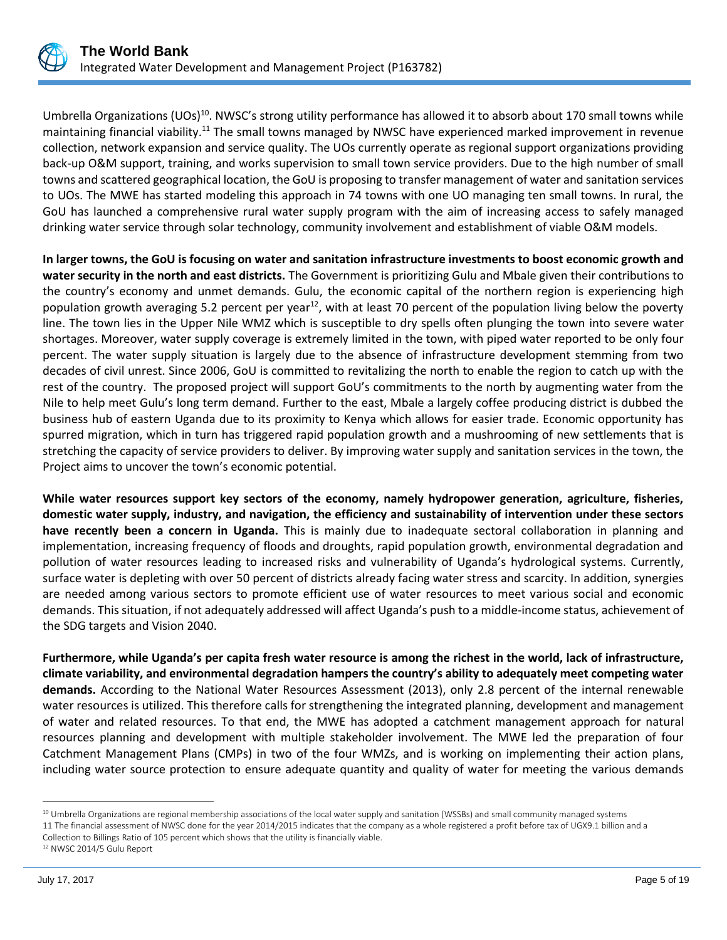

Umbrella Organizations (UOs)<sup>10</sup>. NWSC's strong utility performance has allowed it to absorb about 170 small towns while maintaining financial viability.<sup>11</sup> The small towns managed by NWSC have experienced marked improvement in revenue collection, network expansion and service quality. The UOs currently operate as regional support organizations providing back-up O&M support, training, and works supervision to small town service providers. Due to the high number of small towns and scattered geographical location, the GoU is proposing to transfer management of water and sanitation services to UOs. The MWE has started modeling this approach in 74 towns with one UO managing ten small towns. In rural, the GoU has launched a comprehensive rural water supply program with the aim of increasing access to safely managed drinking water service through solar technology, community involvement and establishment of viable O&M models.

**In larger towns, the GoU is focusing on water and sanitation infrastructure investments to boost economic growth and water security in the north and east districts.** The Government is prioritizing Gulu and Mbale given their contributions to the country's economy and unmet demands. Gulu, the economic capital of the northern region is experiencing high population growth averaging 5.2 percent per year<sup>12</sup>, with at least 70 percent of the population living below the poverty line. The town lies in the Upper Nile WMZ which is susceptible to dry spells often plunging the town into severe water shortages. Moreover, water supply coverage is extremely limited in the town, with piped water reported to be only four percent. The water supply situation is largely due to the absence of infrastructure development stemming from two decades of civil unrest. Since 2006, GoU is committed to revitalizing the north to enable the region to catch up with the rest of the country. The proposed project will support GoU's commitments to the north by augmenting water from the Nile to help meet Gulu's long term demand. Further to the east, Mbale a largely coffee producing district is dubbed the business hub of eastern Uganda due to its proximity to Kenya which allows for easier trade. Economic opportunity has spurred migration, which in turn has triggered rapid population growth and a mushrooming of new settlements that is stretching the capacity of service providers to deliver. By improving water supply and sanitation services in the town, the Project aims to uncover the town's economic potential.

**While water resources support key sectors of the economy, namely hydropower generation, agriculture, fisheries, domestic water supply, industry, and navigation, the efficiency and sustainability of intervention under these sectors have recently been a concern in Uganda.** This is mainly due to inadequate sectoral collaboration in planning and implementation, increasing frequency of floods and droughts, rapid population growth, environmental degradation and pollution of water resources leading to increased risks and vulnerability of Uganda's hydrological systems. Currently, surface water is depleting with over 50 percent of districts already facing water stress and scarcity. In addition, synergies are needed among various sectors to promote efficient use of water resources to meet various social and economic demands. This situation, if not adequately addressed will affect Uganda's push to a middle-income status, achievement of the SDG targets and Vision 2040.

**Furthermore, while Uganda's per capita fresh water resource is among the richest in the world, lack of infrastructure, climate variability, and environmental degradation hampers the country's ability to adequately meet competing water demands.** According to the National Water Resources Assessment (2013), only 2.8 percent of the internal renewable water resources is utilized. This therefore calls for strengthening the integrated planning, development and management of water and related resources. To that end, the MWE has adopted a catchment management approach for natural resources planning and development with multiple stakeholder involvement. The MWE led the preparation of four Catchment Management Plans (CMPs) in two of the four WMZs, and is working on implementing their action plans, including water source protection to ensure adequate quantity and quality of water for meeting the various demands

 $\overline{a}$ 

<sup>&</sup>lt;sup>10</sup> Umbrella Organizations are regional membership associations of the local water supply and sanitation (WSSBs) and small community managed systems 11 The financial assessment of NWSC done for the year 2014/2015 indicates that the company as a whole registered a profit before tax of UGX9.1 billion and a Collection to Billings Ratio of 105 percent which shows that the utility is financially viable.

<sup>12</sup> NWSC 2014/5 Gulu Report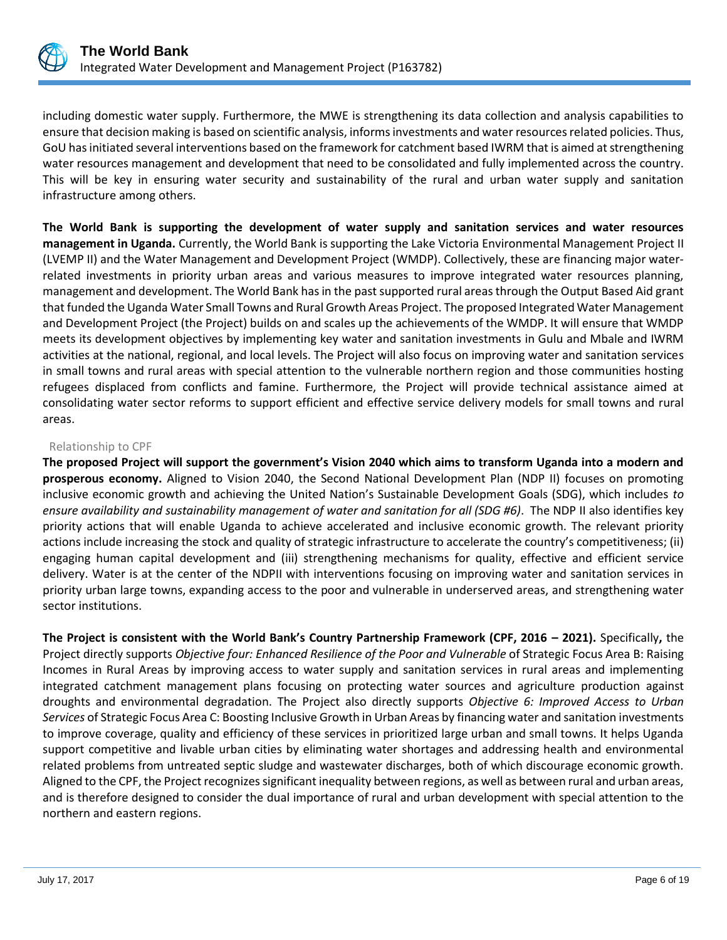

including domestic water supply. Furthermore, the MWE is strengthening its data collection and analysis capabilities to ensure that decision making is based on scientific analysis, informs investments and water resources related policies. Thus, GoU has initiated several interventions based on the framework for catchment based IWRM that is aimed at strengthening water resources management and development that need to be consolidated and fully implemented across the country. This will be key in ensuring water security and sustainability of the rural and urban water supply and sanitation infrastructure among others.

**The World Bank is supporting the development of water supply and sanitation services and water resources management in Uganda.** Currently, the World Bank is supporting the Lake Victoria Environmental Management Project II (LVEMP II) and the Water Management and Development Project (WMDP). Collectively, these are financing major waterrelated investments in priority urban areas and various measures to improve integrated water resources planning, management and development. The World Bank has in the past supported rural areas through the Output Based Aid grant that funded the Uganda Water Small Towns and Rural Growth Areas Project. The proposed Integrated Water Management and Development Project (the Project) builds on and scales up the achievements of the WMDP. It will ensure that WMDP meets its development objectives by implementing key water and sanitation investments in Gulu and Mbale and IWRM activities at the national, regional, and local levels. The Project will also focus on improving water and sanitation services in small towns and rural areas with special attention to the vulnerable northern region and those communities hosting refugees displaced from conflicts and famine. Furthermore, the Project will provide technical assistance aimed at consolidating water sector reforms to support efficient and effective service delivery models for small towns and rural areas.

## Relationship to CPF

**The proposed Project will support the government's Vision 2040 which aims to transform Uganda into a modern and prosperous economy.** Aligned to Vision 2040, the Second National Development Plan (NDP II) focuses on promoting inclusive economic growth and achieving the United Nation's Sustainable Development Goals (SDG), which includes *to ensure availability and sustainability management of water and sanitation for all (SDG #6)*. The NDP II also identifies key priority actions that will enable Uganda to achieve accelerated and inclusive economic growth. The relevant priority actions include increasing the stock and quality of strategic infrastructure to accelerate the country's competitiveness; (ii) engaging human capital development and (iii) strengthening mechanisms for quality, effective and efficient service delivery. Water is at the center of the NDPII with interventions focusing on improving water and sanitation services in priority urban large towns, expanding access to the poor and vulnerable in underserved areas, and strengthening water sector institutions.

**The Project is consistent with the World Bank's Country Partnership Framework (CPF, 2016 – 2021).** Specifically**,** the Project directly supports *Objective four: Enhanced Resilience of the Poor and Vulnerable* of Strategic Focus Area B: Raising Incomes in Rural Areas by improving access to water supply and sanitation services in rural areas and implementing integrated catchment management plans focusing on protecting water sources and agriculture production against droughts and environmental degradation. The Project also directly supports *Objective 6: Improved Access to Urban Services* of Strategic Focus Area C: Boosting Inclusive Growth in Urban Areas by financing water and sanitation investments to improve coverage, quality and efficiency of these services in prioritized large urban and small towns. It helps Uganda support competitive and livable urban cities by eliminating water shortages and addressing health and environmental related problems from untreated septic sludge and wastewater discharges, both of which discourage economic growth. Aligned to the CPF, the Project recognizes significant inequality between regions, as well as between rural and urban areas, and is therefore designed to consider the dual importance of rural and urban development with special attention to the northern and eastern regions.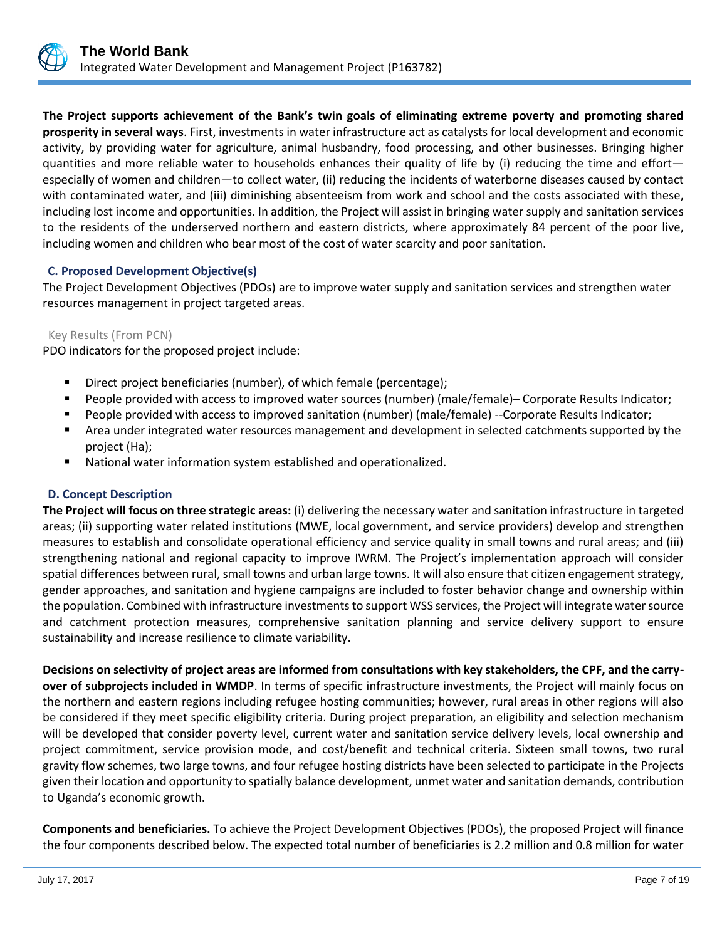

**The Project supports achievement of the Bank's twin goals of eliminating extreme poverty and promoting shared prosperity in several ways**. First, investments in water infrastructure act as catalysts for local development and economic activity, by providing water for agriculture, animal husbandry, food processing, and other businesses. Bringing higher quantities and more reliable water to households enhances their quality of life by (i) reducing the time and effort especially of women and children—to collect water, (ii) reducing the incidents of waterborne diseases caused by contact with contaminated water, and (iii) diminishing absenteeism from work and school and the costs associated with these, including lost income and opportunities. In addition, the Project will assist in bringing water supply and sanitation services to the residents of the underserved northern and eastern districts, where approximately 84 percent of the poor live, including women and children who bear most of the cost of water scarcity and poor sanitation.

## **C. Proposed Development Objective(s)**

The Project Development Objectives (PDOs) are to improve water supply and sanitation services and strengthen water resources management in project targeted areas.

#### Key Results (From PCN)

PDO indicators for the proposed project include:

- Direct project beneficiaries (number), of which female (percentage);
- People provided with access to improved water sources (number) (male/female)– Corporate Results Indicator;
- People provided with access to improved sanitation (number) (male/female) --Corporate Results Indicator;
- Area under integrated water resources management and development in selected catchments supported by the project (Ha);
- National water information system established and operationalized.

#### **D. Concept Description**

**The Project will focus on three strategic areas:** (i) delivering the necessary water and sanitation infrastructure in targeted areas; (ii) supporting water related institutions (MWE, local government, and service providers) develop and strengthen measures to establish and consolidate operational efficiency and service quality in small towns and rural areas; and (iii) strengthening national and regional capacity to improve IWRM. The Project's implementation approach will consider spatial differences between rural, small towns and urban large towns. It will also ensure that citizen engagement strategy, gender approaches, and sanitation and hygiene campaigns are included to foster behavior change and ownership within the population. Combined with infrastructure investments to support WSS services, the Project will integrate water source and catchment protection measures, comprehensive sanitation planning and service delivery support to ensure sustainability and increase resilience to climate variability.

**Decisions on selectivity of project areas are informed from consultations with key stakeholders, the CPF, and the carryover of subprojects included in WMDP**. In terms of specific infrastructure investments, the Project will mainly focus on the northern and eastern regions including refugee hosting communities; however, rural areas in other regions will also be considered if they meet specific eligibility criteria. During project preparation, an eligibility and selection mechanism will be developed that consider poverty level, current water and sanitation service delivery levels, local ownership and project commitment, service provision mode, and cost/benefit and technical criteria. Sixteen small towns, two rural gravity flow schemes, two large towns, and four refugee hosting districts have been selected to participate in the Projects given their location and opportunity to spatially balance development, unmet water and sanitation demands, contribution to Uganda's economic growth.

**Components and beneficiaries.** To achieve the Project Development Objectives (PDOs), the proposed Project will finance the four components described below. The expected total number of beneficiaries is 2.2 million and 0.8 million for water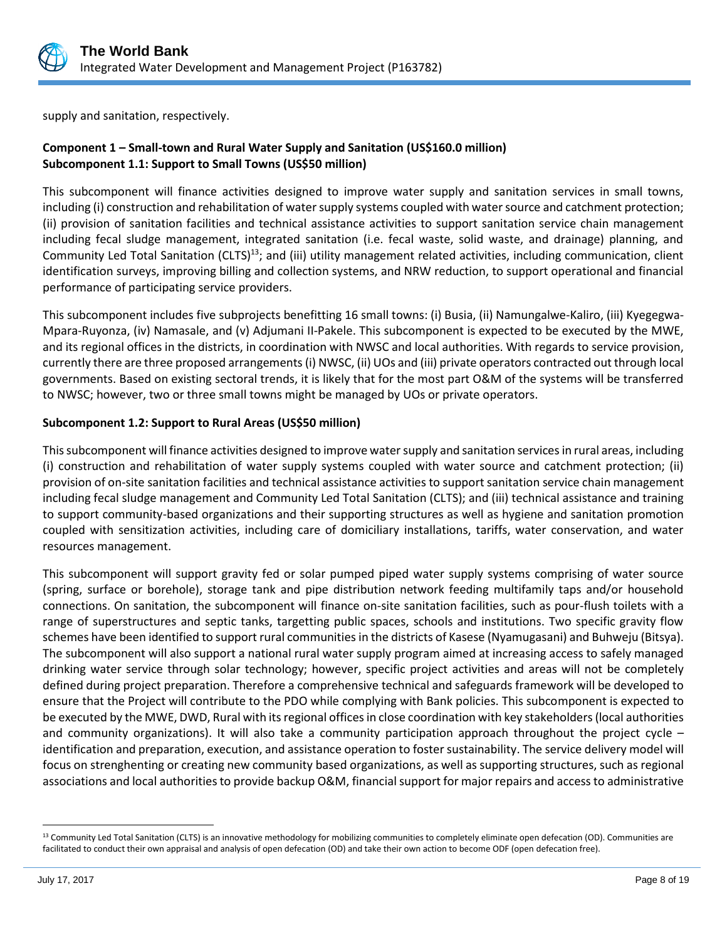

supply and sanitation, respectively.

## **Component 1 – Small-town and Rural Water Supply and Sanitation (US\$160.0 million) Subcomponent 1.1: Support to Small Towns (US\$50 million)**

This subcomponent will finance activities designed to improve water supply and sanitation services in small towns, including (i) construction and rehabilitation of water supply systems coupled with water source and catchment protection; (ii) provision of sanitation facilities and technical assistance activities to support sanitation service chain management including fecal sludge management, integrated sanitation (i.e. fecal waste, solid waste, and drainage) planning, and Community Led Total Sanitation (CLTS)<sup>13</sup>; and (iii) utility management related activities, including communication, client identification surveys, improving billing and collection systems, and NRW reduction, to support operational and financial performance of participating service providers.

This subcomponent includes five subprojects benefitting 16 small towns: (i) Busia, (ii) Namungalwe-Kaliro, (iii) Kyegegwa-Mpara-Ruyonza, (iv) Namasale, and (v) Adjumani II-Pakele. This subcomponent is expected to be executed by the MWE, and its regional offices in the districts, in coordination with NWSC and local authorities. With regards to service provision, currently there are three proposed arrangements (i) NWSC, (ii) UOs and (iii) private operators contracted out through local governments. Based on existing sectoral trends, it is likely that for the most part O&M of the systems will be transferred to NWSC; however, two or three small towns might be managed by UOs or private operators.

## **Subcomponent 1.2: Support to Rural Areas (US\$50 million)**

This subcomponent will finance activities designed to improve water supply and sanitation services in rural areas, including (i) construction and rehabilitation of water supply systems coupled with water source and catchment protection; (ii) provision of on-site sanitation facilities and technical assistance activities to support sanitation service chain management including fecal sludge management and Community Led Total Sanitation (CLTS); and (iii) technical assistance and training to support community-based organizations and their supporting structures as well as hygiene and sanitation promotion coupled with sensitization activities, including care of domiciliary installations, tariffs, water conservation, and water resources management.

This subcomponent will support gravity fed or solar pumped piped water supply systems comprising of water source (spring, surface or borehole), storage tank and pipe distribution network feeding multifamily taps and/or household connections. On sanitation, the subcomponent will finance on-site sanitation facilities, such as pour-flush toilets with a range of superstructures and septic tanks, targetting public spaces, schools and institutions. Two specific gravity flow schemes have been identified to support rural communities in the districts of Kasese (Nyamugasani) and Buhweju (Bitsya). The subcomponent will also support a national rural water supply program aimed at increasing access to safely managed drinking water service through solar technology; however, specific project activities and areas will not be completely defined during project preparation. Therefore a comprehensive technical and safeguards framework will be developed to ensure that the Project will contribute to the PDO while complying with Bank policies. This subcomponent is expected to be executed by the MWE, DWD, Rural with its regional offices in close coordination with key stakeholders (local authorities and community organizations). It will also take a community participation approach throughout the project cycle – identification and preparation, execution, and assistance operation to foster sustainability. The service delivery model will focus on strenghenting or creating new community based organizations, as well as supporting structures, such as regional associations and local authorities to provide backup O&M, financial support for major repairs and access to administrative

 $\overline{a}$ 

<sup>&</sup>lt;sup>13</sup> Community Led Total Sanitation (CLTS) is an innovative methodology for mobilizing communities to completely eliminate open defecation (OD). Communities are facilitated to conduct their own appraisal and analysis of open defecation (OD) and take their own action to become ODF (open defecation free).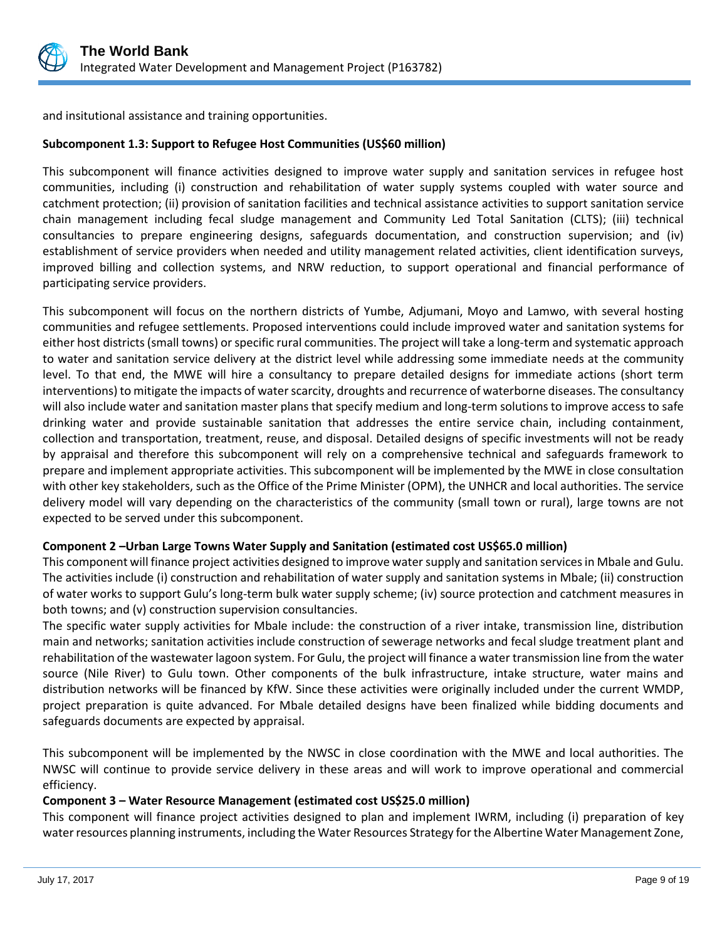

and insitutional assistance and training opportunities.

## **Subcomponent 1.3: Support to Refugee Host Communities (US\$60 million)**

This subcomponent will finance activities designed to improve water supply and sanitation services in refugee host communities, including (i) construction and rehabilitation of water supply systems coupled with water source and catchment protection; (ii) provision of sanitation facilities and technical assistance activities to support sanitation service chain management including fecal sludge management and Community Led Total Sanitation (CLTS); (iii) technical consultancies to prepare engineering designs, safeguards documentation, and construction supervision; and (iv) establishment of service providers when needed and utility management related activities, client identification surveys, improved billing and collection systems, and NRW reduction, to support operational and financial performance of participating service providers.

This subcomponent will focus on the northern districts of Yumbe, Adjumani, Moyo and Lamwo, with several hosting communities and refugee settlements. Proposed interventions could include improved water and sanitation systems for either host districts (small towns) or specific rural communities. The project will take a long-term and systematic approach to water and sanitation service delivery at the district level while addressing some immediate needs at the community level. To that end, the MWE will hire a consultancy to prepare detailed designs for immediate actions (short term interventions) to mitigate the impacts of water scarcity, droughts and recurrence of waterborne diseases. The consultancy will also include water and sanitation master plans that specify medium and long-term solutions to improve access to safe drinking water and provide sustainable sanitation that addresses the entire service chain, including containment, collection and transportation, treatment, reuse, and disposal. Detailed designs of specific investments will not be ready by appraisal and therefore this subcomponent will rely on a comprehensive technical and safeguards framework to prepare and implement appropriate activities. This subcomponent will be implemented by the MWE in close consultation with other key stakeholders, such as the Office of the Prime Minister (OPM), the UNHCR and local authorities. The service delivery model will vary depending on the characteristics of the community (small town or rural), large towns are not expected to be served under this subcomponent.

## **Component 2 –Urban Large Towns Water Supply and Sanitation (estimated cost US\$65.0 million)**

This component will finance project activities designed to improve water supply and sanitation services in Mbale and Gulu. The activities include (i) construction and rehabilitation of water supply and sanitation systems in Mbale; (ii) construction of water works to support Gulu's long-term bulk water supply scheme; (iv) source protection and catchment measures in both towns; and (v) construction supervision consultancies.

The specific water supply activities for Mbale include: the construction of a river intake, transmission line, distribution main and networks; sanitation activities include construction of sewerage networks and fecal sludge treatment plant and rehabilitation of the wastewater lagoon system. For Gulu, the project will finance a water transmission line from the water source (Nile River) to Gulu town. Other components of the bulk infrastructure, intake structure, water mains and distribution networks will be financed by KfW. Since these activities were originally included under the current WMDP, project preparation is quite advanced. For Mbale detailed designs have been finalized while bidding documents and safeguards documents are expected by appraisal.

This subcomponent will be implemented by the NWSC in close coordination with the MWE and local authorities. The NWSC will continue to provide service delivery in these areas and will work to improve operational and commercial efficiency.

## **Component 3 – Water Resource Management (estimated cost US\$25.0 million)**

This component will finance project activities designed to plan and implement IWRM, including (i) preparation of key water resources planning instruments, including the Water Resources Strategy for the Albertine Water Management Zone,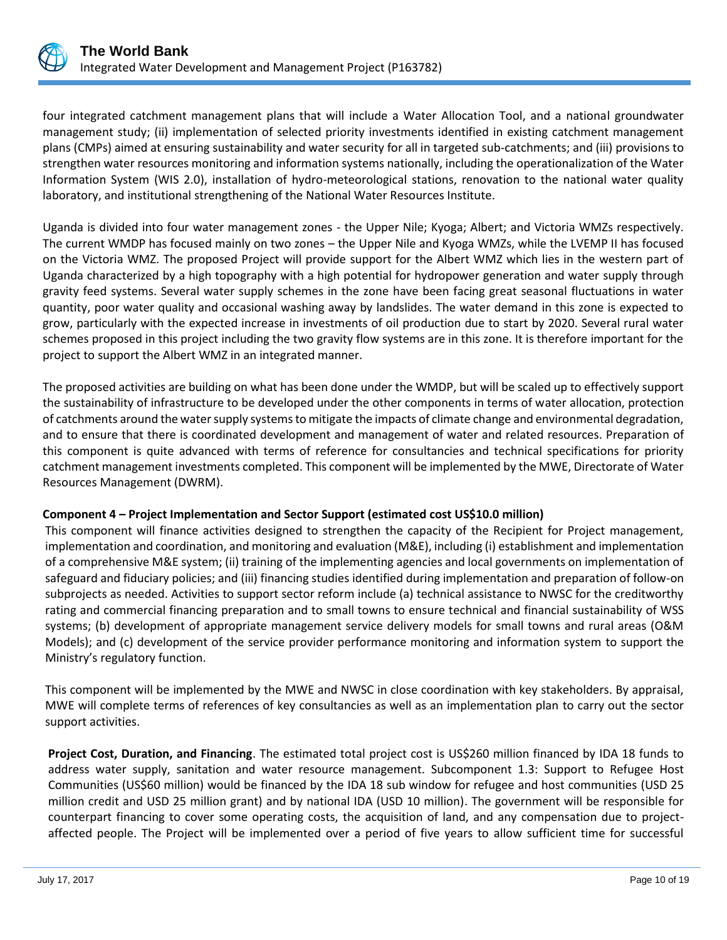

four integrated catchment management plans that will include a Water Allocation Tool, and a national groundwater management study; (ii) implementation of selected priority investments identified in existing catchment management plans (CMPs) aimed at ensuring sustainability and water security for all in targeted sub-catchments; and (iii) provisions to strengthen water resources monitoring and information systems nationally, including the operationalization of the Water Information System (WIS 2.0), installation of hydro-meteorological stations, renovation to the national water quality laboratory, and institutional strengthening of the National Water Resources Institute.

Uganda is divided into four water management zones - the Upper Nile; Kyoga; Albert; and Victoria WMZs respectively. The current WMDP has focused mainly on two zones – the Upper Nile and Kyoga WMZs, while the LVEMP II has focused on the Victoria WMZ. The proposed Project will provide support for the Albert WMZ which lies in the western part of Uganda characterized by a high topography with a high potential for hydropower generation and water supply through gravity feed systems. Several water supply schemes in the zone have been facing great seasonal fluctuations in water quantity, poor water quality and occasional washing away by landslides. The water demand in this zone is expected to grow, particularly with the expected increase in investments of oil production due to start by 2020. Several rural water schemes proposed in this project including the two gravity flow systems are in this zone. It is therefore important for the project to support the Albert WMZ in an integrated manner.

The proposed activities are building on what has been done under the WMDP, but will be scaled up to effectively support the sustainability of infrastructure to be developed under the other components in terms of water allocation, protection of catchments around the water supply systems to mitigate the impacts of climate change and environmental degradation, and to ensure that there is coordinated development and management of water and related resources. Preparation of this component is quite advanced with terms of reference for consultancies and technical specifications for priority catchment management investments completed. This component will be implemented by the MWE, Directorate of Water Resources Management (DWRM).

## **Component 4 – Project Implementation and Sector Support (estimated cost US\$10.0 million)**

This component will finance activities designed to strengthen the capacity of the Recipient for Project management, implementation and coordination, and monitoring and evaluation (M&E), including (i) establishment and implementation of a comprehensive M&E system; (ii) training of the implementing agencies and local governments on implementation of safeguard and fiduciary policies; and (iii) financing studies identified during implementation and preparation of follow-on subprojects as needed. Activities to support sector reform include (a) technical assistance to NWSC for the creditworthy rating and commercial financing preparation and to small towns to ensure technical and financial sustainability of WSS systems; (b) development of appropriate management service delivery models for small towns and rural areas (O&M Models); and (c) development of the service provider performance monitoring and information system to support the Ministry's regulatory function.

This component will be implemented by the MWE and NWSC in close coordination with key stakeholders. By appraisal, MWE will complete terms of references of key consultancies as well as an implementation plan to carry out the sector support activities.

**Project Cost, Duration, and Financing**. The estimated total project cost is US\$260 million financed by IDA 18 funds to address water supply, sanitation and water resource management. Subcomponent 1.3: Support to Refugee Host Communities (US\$60 million) would be financed by the IDA 18 sub window for refugee and host communities (USD 25 million credit and USD 25 million grant) and by national IDA (USD 10 million). The government will be responsible for counterpart financing to cover some operating costs, the acquisition of land, and any compensation due to projectaffected people. The Project will be implemented over a period of five years to allow sufficient time for successful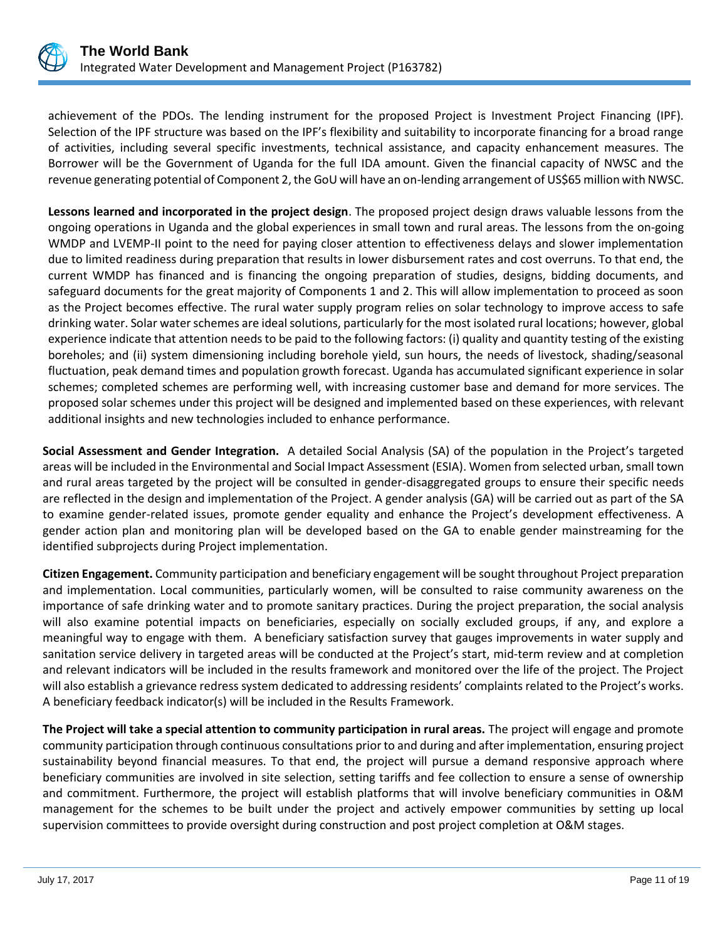

achievement of the PDOs. The lending instrument for the proposed Project is Investment Project Financing (IPF). Selection of the IPF structure was based on the IPF's flexibility and suitability to incorporate financing for a broad range of activities, including several specific investments, technical assistance, and capacity enhancement measures. The Borrower will be the Government of Uganda for the full IDA amount. Given the financial capacity of NWSC and the revenue generating potential of Component 2, the GoU will have an on-lending arrangement of US\$65 million with NWSC.

**Lessons learned and incorporated in the project design**. The proposed project design draws valuable lessons from the ongoing operations in Uganda and the global experiences in small town and rural areas. The lessons from the on-going WMDP and LVEMP-II point to the need for paying closer attention to effectiveness delays and slower implementation due to limited readiness during preparation that results in lower disbursement rates and cost overruns. To that end, the current WMDP has financed and is financing the ongoing preparation of studies, designs, bidding documents, and safeguard documents for the great majority of Components 1 and 2. This will allow implementation to proceed as soon as the Project becomes effective. The rural water supply program relies on solar technology to improve access to safe drinking water. Solar water schemes are ideal solutions, particularly for the most isolated rural locations; however, global experience indicate that attention needs to be paid to the following factors: (i) quality and quantity testing of the existing boreholes; and (ii) system dimensioning including borehole yield, sun hours, the needs of livestock, shading/seasonal fluctuation, peak demand times and population growth forecast. Uganda has accumulated significant experience in solar schemes; completed schemes are performing well, with increasing customer base and demand for more services. The proposed solar schemes under this project will be designed and implemented based on these experiences, with relevant additional insights and new technologies included to enhance performance.

**Social Assessment and Gender Integration.** A detailed Social Analysis (SA) of the population in the Project's targeted areas will be included in the Environmental and Social Impact Assessment (ESIA). Women from selected urban, small town and rural areas targeted by the project will be consulted in gender-disaggregated groups to ensure their specific needs are reflected in the design and implementation of the Project. A gender analysis (GA) will be carried out as part of the SA to examine gender-related issues, promote gender equality and enhance the Project's development effectiveness. A gender action plan and monitoring plan will be developed based on the GA to enable gender mainstreaming for the identified subprojects during Project implementation.

**Citizen Engagement.** Community participation and beneficiary engagement will be sought throughout Project preparation and implementation. Local communities, particularly women, will be consulted to raise community awareness on the importance of safe drinking water and to promote sanitary practices. During the project preparation, the social analysis will also examine potential impacts on beneficiaries, especially on socially excluded groups, if any, and explore a meaningful way to engage with them. A beneficiary satisfaction survey that gauges improvements in water supply and sanitation service delivery in targeted areas will be conducted at the Project's start, mid-term review and at completion and relevant indicators will be included in the results framework and monitored over the life of the project. The Project will also establish a grievance redress system dedicated to addressing residents' complaints related to the Project's works. A beneficiary feedback indicator(s) will be included in the Results Framework.

**The Project will take a special attention to community participation in rural areas.** The project will engage and promote community participation through continuous consultations prior to and during and after implementation, ensuring project sustainability beyond financial measures. To that end, the project will pursue a demand responsive approach where beneficiary communities are involved in site selection, setting tariffs and fee collection to ensure a sense of ownership and commitment. Furthermore, the project will establish platforms that will involve beneficiary communities in O&M management for the schemes to be built under the project and actively empower communities by setting up local supervision committees to provide oversight during construction and post project completion at O&M stages.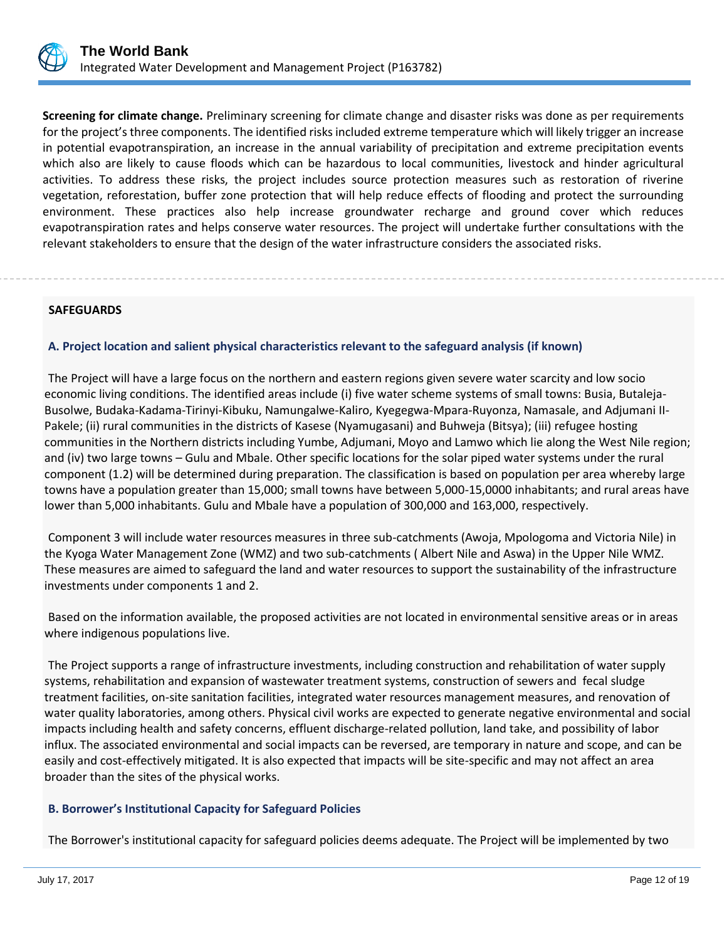

**Screening for climate change.** Preliminary screening for climate change and disaster risks was done as per requirements for the project's three components. The identified risks included extreme temperature which will likely trigger an increase in potential evapotranspiration, an increase in the annual variability of precipitation and extreme precipitation events which also are likely to cause floods which can be hazardous to local communities, livestock and hinder agricultural activities. To address these risks, the project includes source protection measures such as restoration of riverine vegetation, reforestation, buffer zone protection that will help reduce effects of flooding and protect the surrounding environment. These practices also help increase groundwater recharge and ground cover which reduces evapotranspiration rates and helps conserve water resources. The project will undertake further consultations with the relevant stakeholders to ensure that the design of the water infrastructure considers the associated risks.

## **SAFEGUARDS**

## **A. Project location and salient physical characteristics relevant to the safeguard analysis (if known)**

The Project will have a large focus on the northern and eastern regions given severe water scarcity and low socio economic living conditions. The identified areas include (i) five water scheme systems of small towns: Busia, Butaleja-Busolwe, Budaka-Kadama-Tirinyi-Kibuku, Namungalwe-Kaliro, Kyegegwa-Mpara-Ruyonza, Namasale, and Adjumani II-Pakele; (ii) rural communities in the districts of Kasese (Nyamugasani) and Buhweja (Bitsya); (iii) refugee hosting communities in the Northern districts including Yumbe, Adjumani, Moyo and Lamwo which lie along the West Nile region; and (iv) two large towns – Gulu and Mbale. Other specific locations for the solar piped water systems under the rural component (1.2) will be determined during preparation. The classification is based on population per area whereby large towns have a population greater than 15,000; small towns have between 5,000-15,0000 inhabitants; and rural areas have lower than 5,000 inhabitants. Gulu and Mbale have a population of 300,000 and 163,000, respectively.

Component 3 will include water resources measures in three sub-catchments (Awoja, Mpologoma and Victoria Nile) in the Kyoga Water Management Zone (WMZ) and two sub-catchments ( Albert Nile and Aswa) in the Upper Nile WMZ. These measures are aimed to safeguard the land and water resources to support the sustainability of the infrastructure investments under components 1 and 2.

Based on the information available, the proposed activities are not located in environmental sensitive areas or in areas where indigenous populations live.

The Project supports a range of infrastructure investments, including construction and rehabilitation of water supply systems, rehabilitation and expansion of wastewater treatment systems, construction of sewers and fecal sludge treatment facilities, on-site sanitation facilities, integrated water resources management measures, and renovation of water quality laboratories, among others. Physical civil works are expected to generate negative environmental and social impacts including health and safety concerns, effluent discharge-related pollution, land take, and possibility of labor influx. The associated environmental and social impacts can be reversed, are temporary in nature and scope, and can be easily and cost-effectively mitigated. It is also expected that impacts will be site-specific and may not affect an area broader than the sites of the physical works.

## **B. Borrower's Institutional Capacity for Safeguard Policies**

The Borrower's institutional capacity for safeguard policies deems adequate. The Project will be implemented by two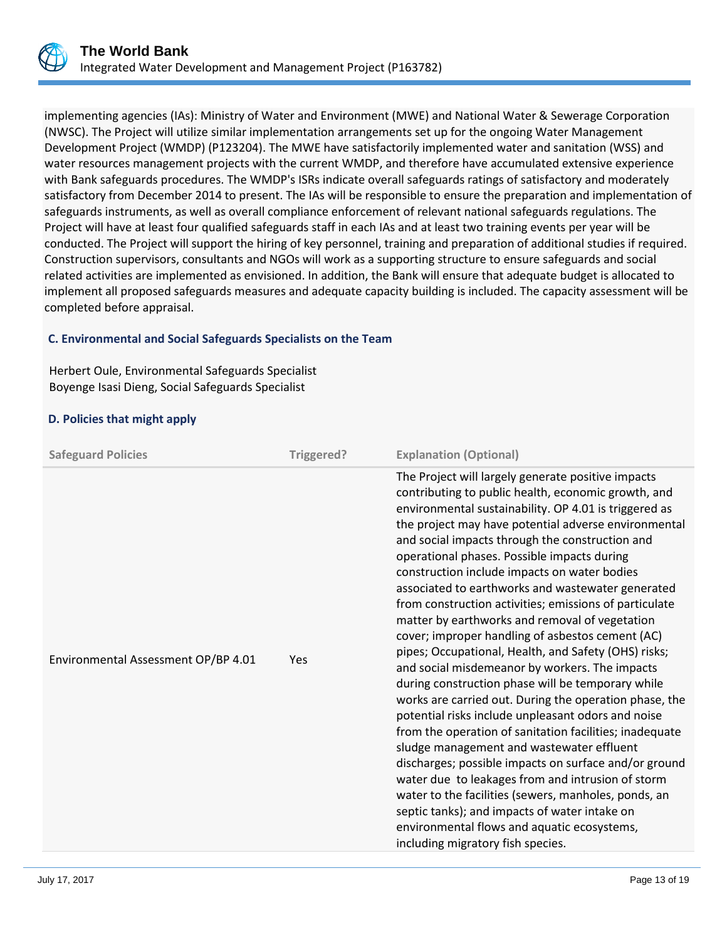

implementing agencies (IAs): Ministry of Water and Environment (MWE) and National Water & Sewerage Corporation (NWSC). The Project will utilize similar implementation arrangements set up for the ongoing Water Management Development Project (WMDP) (P123204). The MWE have satisfactorily implemented water and sanitation (WSS) and water resources management projects with the current WMDP, and therefore have accumulated extensive experience with Bank safeguards procedures. The WMDP's ISRs indicate overall safeguards ratings of satisfactory and moderately satisfactory from December 2014 to present. The IAs will be responsible to ensure the preparation and implementation of safeguards instruments, as well as overall compliance enforcement of relevant national safeguards regulations. The Project will have at least four qualified safeguards staff in each IAs and at least two training events per year will be conducted. The Project will support the hiring of key personnel, training and preparation of additional studies if required. Construction supervisors, consultants and NGOs will work as a supporting structure to ensure safeguards and social related activities are implemented as envisioned. In addition, the Bank will ensure that adequate budget is allocated to implement all proposed safeguards measures and adequate capacity building is included. The capacity assessment will be completed before appraisal.

## **C. Environmental and Social Safeguards Specialists on the Team**

Herbert Oule, Environmental Safeguards Specialist Boyenge Isasi Dieng, Social Safeguards Specialist

## **D. Policies that might apply**

| <b>Safeguard Policies</b>           | Triggered? | <b>Explanation (Optional)</b>                                                                                                                                                                                                                                                                                                                                                                                                                                                                                                                                                                                                                                                                                                                                                                                                                                                                                                                                                                                                                                                                                                                                                                                                                                                                       |
|-------------------------------------|------------|-----------------------------------------------------------------------------------------------------------------------------------------------------------------------------------------------------------------------------------------------------------------------------------------------------------------------------------------------------------------------------------------------------------------------------------------------------------------------------------------------------------------------------------------------------------------------------------------------------------------------------------------------------------------------------------------------------------------------------------------------------------------------------------------------------------------------------------------------------------------------------------------------------------------------------------------------------------------------------------------------------------------------------------------------------------------------------------------------------------------------------------------------------------------------------------------------------------------------------------------------------------------------------------------------------|
| Environmental Assessment OP/BP 4.01 | Yes        | The Project will largely generate positive impacts<br>contributing to public health, economic growth, and<br>environmental sustainability. OP 4.01 is triggered as<br>the project may have potential adverse environmental<br>and social impacts through the construction and<br>operational phases. Possible impacts during<br>construction include impacts on water bodies<br>associated to earthworks and wastewater generated<br>from construction activities; emissions of particulate<br>matter by earthworks and removal of vegetation<br>cover; improper handling of asbestos cement (AC)<br>pipes; Occupational, Health, and Safety (OHS) risks;<br>and social misdemeanor by workers. The impacts<br>during construction phase will be temporary while<br>works are carried out. During the operation phase, the<br>potential risks include unpleasant odors and noise<br>from the operation of sanitation facilities; inadequate<br>sludge management and wastewater effluent<br>discharges; possible impacts on surface and/or ground<br>water due to leakages from and intrusion of storm<br>water to the facilities (sewers, manholes, ponds, an<br>septic tanks); and impacts of water intake on<br>environmental flows and aquatic ecosystems,<br>including migratory fish species. |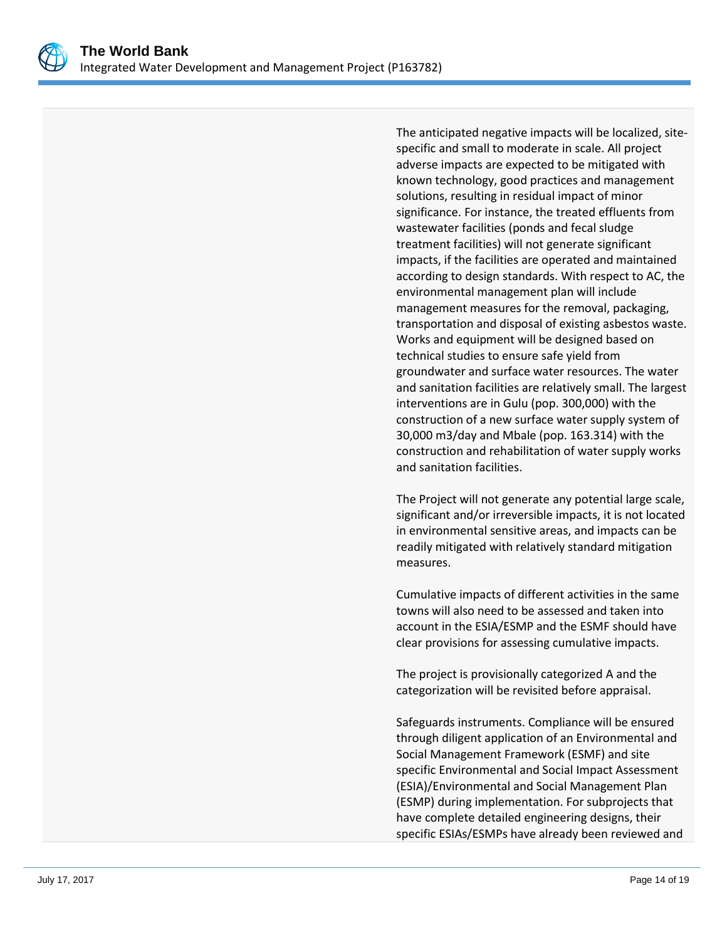

The anticipated negative impacts will be localized, sitespecific and small to moderate in scale. All project adverse impacts are expected to be mitigated with known technology, good practices and management solutions, resulting in residual impact of minor significance. For instance, the treated effluents from wastewater facilities (ponds and fecal sludge treatment facilities) will not generate significant impacts, if the facilities are operated and maintained according to design standards. With respect to AC, the environmental management plan will include management measures for the removal, packaging, transportation and disposal of existing asbestos waste. Works and equipment will be designed based on technical studies to ensure safe yield from groundwater and surface water resources. The water and sanitation facilities are relatively small. The largest interventions are in Gulu (pop. 300,000) with the construction of a new surface water supply system of 30,000 m3/day and Mbale (pop. 163.314) with the construction and rehabilitation of water supply works and sanitation facilities.

The Project will not generate any potential large scale, significant and/or irreversible impacts, it is not located in environmental sensitive areas, and impacts can be readily mitigated with relatively standard mitigation measures.

Cumulative impacts of different activities in the same towns will also need to be assessed and taken into account in the ESIA/ESMP and the ESMF should have clear provisions for assessing cumulative impacts.

The project is provisionally categorized A and the categorization will be revisited before appraisal.

Safeguards instruments. Compliance will be ensured through diligent application of an Environmental and Social Management Framework (ESMF) and site specific Environmental and Social Impact Assessment (ESIA)/Environmental and Social Management Plan (ESMP) during implementation. For subprojects that have complete detailed engineering designs, their specific ESIAs/ESMPs have already been reviewed and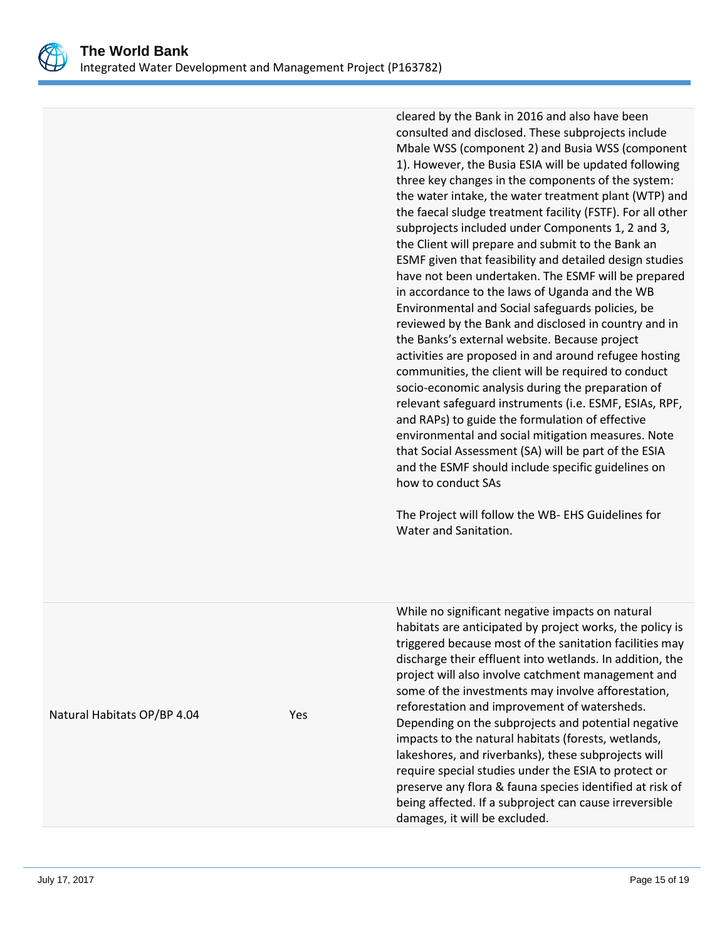

cleared by the Bank in 2016 and also have been consulted and disclosed. These subprojects include Mbale WSS (component 2) and Busia WSS (component 1). However, the Busia ESIA will be updated following three key changes in the components of the system: the water intake, the water treatment plant (WTP) and the faecal sludge treatment facility (FSTF). For all other subprojects included under Components 1, 2 and 3, the Client will prepare and submit to the Bank an ESMF given that feasibility and detailed design studies have not been undertaken. The ESMF will be prepared in accordance to the laws of Uganda and the WB Environmental and Social safeguards policies, be reviewed by the Bank and disclosed in country and in the Banks's external website. Because project activities are proposed in and around refugee hosting communities, the client will be required to conduct socio-economic analysis during the preparation of relevant safeguard instruments (i.e. ESMF, ESIAs, RPF, and RAPs) to guide the formulation of effective environmental and social mitigation measures. Note that Social Assessment (SA) will be part of the ESIA and the ESMF should include specific guidelines on how to conduct SAs

The Project will follow the WB- EHS Guidelines for Water and Sanitation.

damages, it will be excluded.

Natural Habitats OP/BP 4.04 Yes While no significant negative impacts on natural habitats are anticipated by project works, the policy is triggered because most of the sanitation facilities may discharge their effluent into wetlands. In addition, the project will also involve catchment management and some of the investments may involve afforestation, reforestation and improvement of watersheds. Depending on the subprojects and potential negative impacts to the natural habitats (forests, wetlands, lakeshores, and riverbanks), these subprojects will require special studies under the ESIA to protect or preserve any flora & fauna species identified at risk of being affected. If a subproject can cause irreversible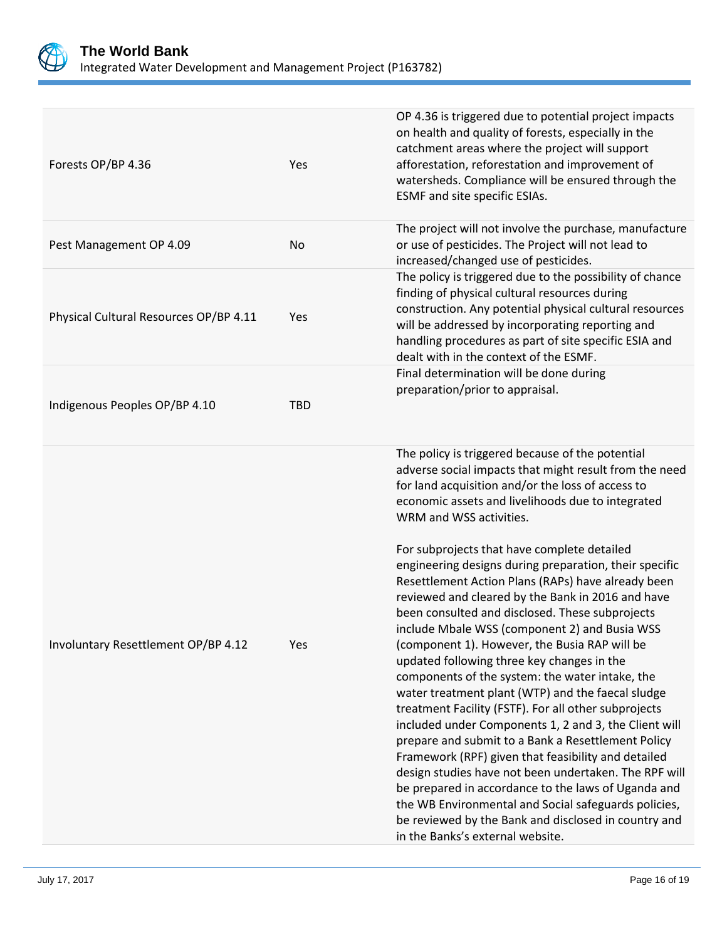

| Forests OP/BP 4.36                     | Yes        | OP 4.36 is triggered due to potential project impacts<br>on health and quality of forests, especially in the<br>catchment areas where the project will support<br>afforestation, reforestation and improvement of<br>watersheds. Compliance will be ensured through the<br>ESMF and site specific ESIAs.                                                                                                                                                                                                                                                                                                                                                                                                                                                                                                                                                                                                                                                                                                                                                                                                                                                                                                                                                                         |
|----------------------------------------|------------|----------------------------------------------------------------------------------------------------------------------------------------------------------------------------------------------------------------------------------------------------------------------------------------------------------------------------------------------------------------------------------------------------------------------------------------------------------------------------------------------------------------------------------------------------------------------------------------------------------------------------------------------------------------------------------------------------------------------------------------------------------------------------------------------------------------------------------------------------------------------------------------------------------------------------------------------------------------------------------------------------------------------------------------------------------------------------------------------------------------------------------------------------------------------------------------------------------------------------------------------------------------------------------|
| Pest Management OP 4.09                | No         | The project will not involve the purchase, manufacture<br>or use of pesticides. The Project will not lead to<br>increased/changed use of pesticides.                                                                                                                                                                                                                                                                                                                                                                                                                                                                                                                                                                                                                                                                                                                                                                                                                                                                                                                                                                                                                                                                                                                             |
| Physical Cultural Resources OP/BP 4.11 | Yes        | The policy is triggered due to the possibility of chance<br>finding of physical cultural resources during<br>construction. Any potential physical cultural resources<br>will be addressed by incorporating reporting and<br>handling procedures as part of site specific ESIA and<br>dealt with in the context of the ESMF.                                                                                                                                                                                                                                                                                                                                                                                                                                                                                                                                                                                                                                                                                                                                                                                                                                                                                                                                                      |
| Indigenous Peoples OP/BP 4.10          | <b>TBD</b> | Final determination will be done during<br>preparation/prior to appraisal.                                                                                                                                                                                                                                                                                                                                                                                                                                                                                                                                                                                                                                                                                                                                                                                                                                                                                                                                                                                                                                                                                                                                                                                                       |
| Involuntary Resettlement OP/BP 4.12    | Yes        | The policy is triggered because of the potential<br>adverse social impacts that might result from the need<br>for land acquisition and/or the loss of access to<br>economic assets and livelihoods due to integrated<br>WRM and WSS activities.<br>For subprojects that have complete detailed<br>engineering designs during preparation, their specific<br>Resettlement Action Plans (RAPs) have already been<br>reviewed and cleared by the Bank in 2016 and have<br>been consulted and disclosed. These subprojects<br>include Mbale WSS (component 2) and Busia WSS<br>(component 1). However, the Busia RAP will be<br>updated following three key changes in the<br>components of the system: the water intake, the<br>water treatment plant (WTP) and the faecal sludge<br>treatment Facility (FSTF). For all other subprojects<br>included under Components 1, 2 and 3, the Client will<br>prepare and submit to a Bank a Resettlement Policy<br>Framework (RPF) given that feasibility and detailed<br>design studies have not been undertaken. The RPF will<br>be prepared in accordance to the laws of Uganda and<br>the WB Environmental and Social safeguards policies,<br>be reviewed by the Bank and disclosed in country and<br>in the Banks's external website. |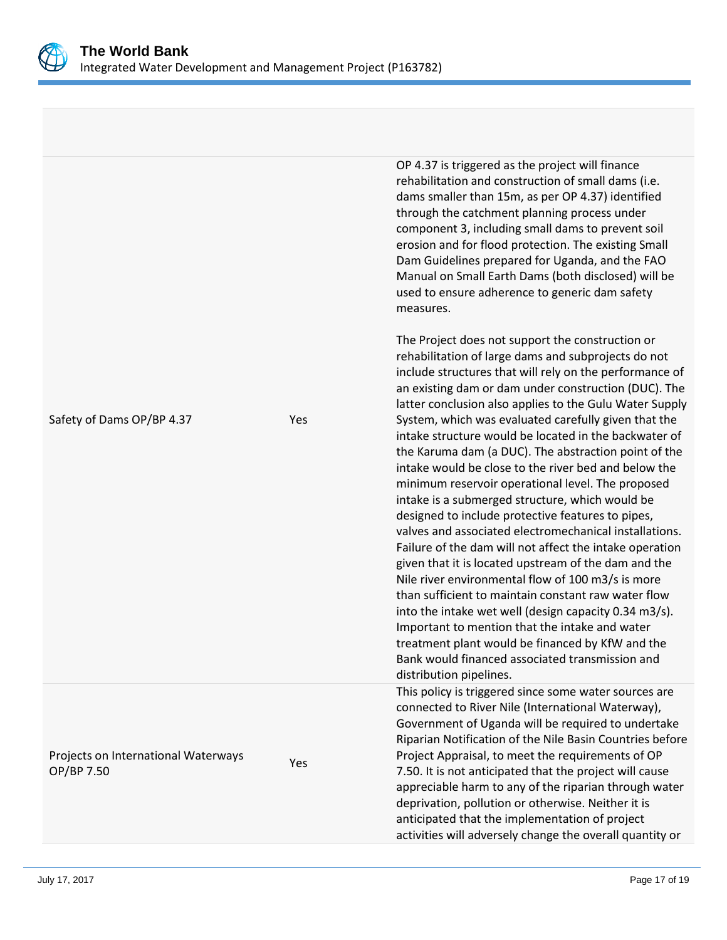

Safety of Dams OP/BP 4.37

Projects on International Waterways

Projects on international waterways<br>OP/BP 7.50

OP 4.37 is triggered as the project will finance rehabilitation and construction of small dams (i.e. dams smaller than 15m, as per OP 4.37) identified through the catchment planning process under component 3, including small dams to prevent soil erosion and for flood protection. The existing Small Dam Guidelines prepared for Uganda, and the FAO Manual on Small Earth Dams (both disclosed) will be used to ensure adherence to generic dam safety measures.

The Project does not support the construction or rehabilitation of large dams and subprojects do not include structures that will rely on the performance of an existing dam or dam under construction (DUC). The latter conclusion also applies to the Gulu Water Supply System, which was evaluated carefully given that the intake structure would be located in the backwater of the Karuma dam (a DUC). The abstraction point of the intake would be close to the river bed and below the minimum reservoir operational level. The proposed intake is a submerged structure, which would be designed to include protective features to pipes, valves and associated electromechanical installations. Failure of the dam will not affect the intake operation given that it is located upstream of the dam and the Nile river environmental flow of 100 m3/s is more than sufficient to maintain constant raw water flow into the intake wet well (design capacity 0.34 m3/s). Important to mention that the intake and water treatment plant would be financed by KfW and the Bank would financed associated transmission and distribution pipelines.

This policy is triggered since some water sources are connected to River Nile (International Waterway), Government of Uganda will be required to undertake Riparian Notification of the Nile Basin Countries before Project Appraisal, to meet the requirements of OP 7.50. It is not anticipated that the project will cause appreciable harm to any of the riparian through water deprivation, pollution or otherwise. Neither it is anticipated that the implementation of project activities will adversely change the overall quantity or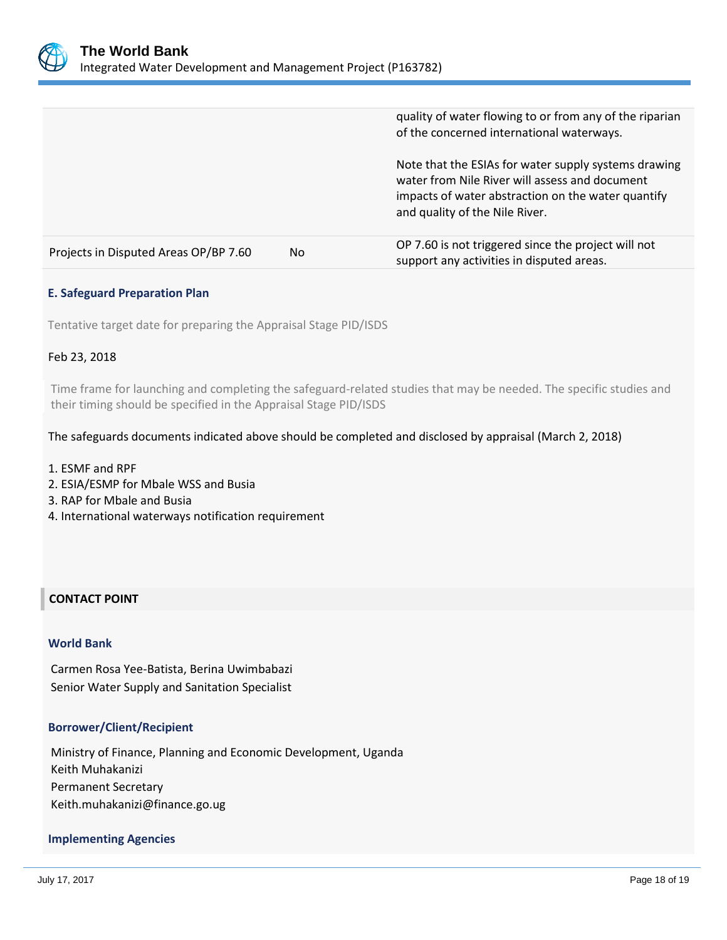

|                                       |     | quality of water flowing to or from any of the riparian<br>of the concerned international waterways.                                                                                           |
|---------------------------------------|-----|------------------------------------------------------------------------------------------------------------------------------------------------------------------------------------------------|
|                                       |     | Note that the ESIAs for water supply systems drawing<br>water from Nile River will assess and document<br>impacts of water abstraction on the water quantify<br>and quality of the Nile River. |
| Projects in Disputed Areas OP/BP 7.60 | No. | OP 7.60 is not triggered since the project will not<br>support any activities in disputed areas.                                                                                               |

#### **E. Safeguard Preparation Plan**

Tentative target date for preparing the Appraisal Stage PID/ISDS

#### Feb 23, 2018

Time frame for launching and completing the safeguard-related studies that may be needed. The specific studies and their timing should be specified in the Appraisal Stage PID/ISDS

#### The safeguards documents indicated above should be completed and disclosed by appraisal (March 2, 2018)

- 1. ESMF and RPF
- 2. ESIA/ESMP for Mbale WSS and Busia
- 3. RAP for Mbale and Busia
- 4. International waterways notification requirement

#### **CONTACT POINT**

#### **World Bank**

Carmen Rosa Yee-Batista, Berina Uwimbabazi Senior Water Supply and Sanitation Specialist

#### **Borrower/Client/Recipient**

Ministry of Finance, Planning and Economic Development, Uganda Keith Muhakanizi Permanent Secretary Keith.muhakanizi@finance.go.ug

#### **Implementing Agencies**